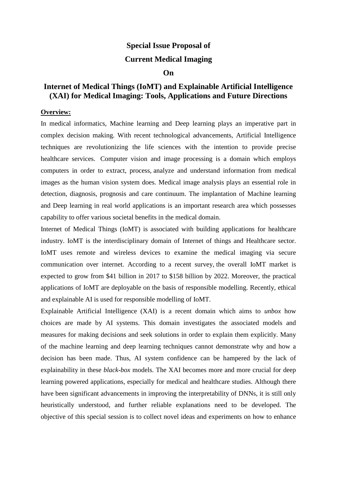## **Special Issue Proposal of**

## **Current Medical Imaging**

## **On**

## **Internet of Medical Things (IoMT) and Explainable Artificial Intelligence (XAI) for Medical Imaging: Tools, Applications and Future Directions**

#### **Overview:**

In medical informatics, Machine learning and Deep learning plays an imperative part in complex decision making. With recent technological advancements, Artificial Intelligence techniques are revolutionizing the life sciences with the intention to provide precise healthcare services. Computer vision and image processing is a domain which employs computers in order to extract, process, analyze and understand information from medical images as the human vision system does. Medical image analysis plays an essential role in detection, diagnosis, prognosis and care continuum. The implantation of Machine learning and Deep learning in real world applications is an important research area which possesses capability to offer various societal benefits in the medical domain.

Internet of Medical Things (IoMT) is associated with building applications for healthcare industry. IoMT is the interdisciplinary domain of Internet of things and Healthcare sector. IoMT uses remote and wireless devices to examine the medical imaging via secure communication over internet. According to a recent survey, the overall IoMT market is expected to grow from \$41 billion in 2017 to \$158 billion by 2022. Moreover, the practical applications of IoMT are deployable on the basis of responsible modelling. Recently, ethical and explainable AI is used for responsible modelling of IoMT.

Explainable Artificial Intelligence (XAI) is a recent domain which aims to *unbox* how choices are made by AI systems. This domain investigates the associated models and measures for making decisions and seek solutions in order to explain them explicitly. Many of the machine learning and deep learning techniques cannot demonstrate why and how a decision has been made. Thus, AI system confidence can be hampered by the lack of explainability in these *black-box* models. The XAI becomes more and more crucial for deep learning powered applications, especially for medical and healthcare studies. Although there have been significant advancements in improving the interpretability of DNNs, it is still only heuristically understood, and further reliable explanations need to be developed. The objective of this special session is to collect novel ideas and experiments on how to enhance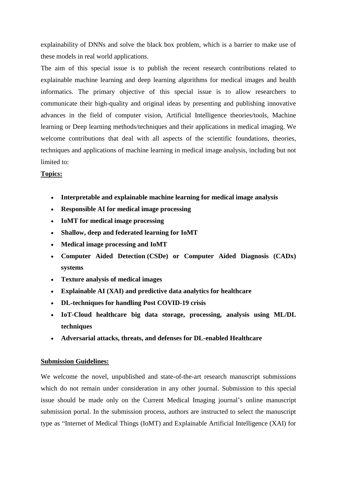explainability of DNNs and solve the black box problem, which is a barrier to make use of these models in real world applications.

The aim of this special issue is to publish the recent research contributions related to explainable machine learning and deep learning algorithms for medical images and health informatics. The primary objective of this special issue is to allow researchers to communicate their high-quality and original ideas by presenting and publishing innovative advances in the field of computer vision, Artificial Intelligence theories/tools, Machine learning or Deep learning methods/techniques and their applications in medical imaging. We welcome contributions that deal with all aspects of the scientific foundations, theories, techniques and applications of machine learning in medical image analysis, including but not limited to:

## **Topics:**

- **Interpretable and explainable machine learning for medical image analysis**
- **Responsible AI for medical image processing**
- **IoMT for medical image processing**
- **Shallow, deep and federated learning for IoMT**
- **Medical image processing and IoMT**
- **Computer Aided Detection (CSDe) or Computer Aided Diagnosis (CADx) systems**
- **Texture analysis of medical images**
- **Explainable AI (XAI) and predictive data analytics for healthcare**
- **DL-techniques for handling Post COVID-19 crisis**
- **IoT-Cloud healthcare big data storage, processing, analysis using ML/DL techniques**
- **Adversarial attacks, threats, and defenses for DL-enabled Healthcare**

## **Submission Guidelines:**

We welcome the novel, unpublished and state-of-the-art research manuscript submissions which do not remain under consideration in any other journal. Submission to this special issue should be made only on the Current Medical Imaging journal's online manuscript submission portal. In the submission process, authors are instructed to select the manuscript type as "Internet of Medical Things (IoMT) and Explainable Artificial Intelligence (XAI) for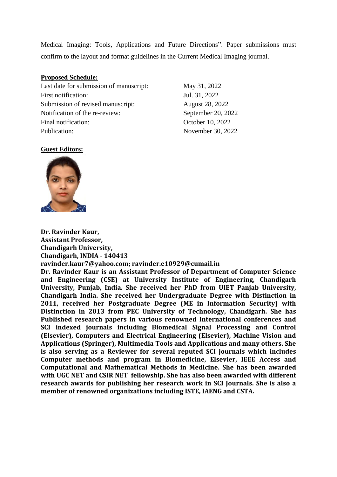Medical Imaging: Tools, Applications and Future Directions". Paper submissions must confirm to the layout and format guidelines in the Current Medical Imaging journal.

#### **Proposed Schedule:**

Last date for submission of manuscript: May 31, 2022 First notification: Jul. 31, 2022 Submission of revised manuscript: August 28, 2022 Notification of the re-review: September 20, 2022 Final notification: Corollary Corollary Corollary October 10, 2022 Publication: November 30, 2022

#### **Guest Editors:**



**Dr. Ravinder Kaur, Assistant Professor, Chandigarh University, Chandigarh, INDIA - 140413 ravinder.kaur7@yahoo.com; ravinder.e10929@cumail.in**

**Dr. Ravinder Kaur is an Assistant Professor of Department of Computer Science and Engineering (CSE) at University Institute of Engineering, Chandigarh University, Punjab, India. She received her PhD from UIET Panjab University, Chandigarh India. She received her Undergraduate Degree with Distinction in 2011, received her Postgraduate Degree (ME in Information Security) with Distinction in 2013 from PEC University of Technology, Chandigarh. She has Published research papers in various renowned International conferences and SCI indexed journals including Biomedical Signal Processing and Control (Elsevier), Computers and Electrical Engineering (Elsevier), Machine Vision and Applications (Springer), Multimedia Tools and Applications and many others. She is also serving as a Reviewer for several reputed SCI journals which includes Computer methods and program in Biomedicine, Elsevier, IEEE Access and Computational and Mathematical Methods in Medicine. She has been awarded with UGC NET and CSIR NET fellowship. She has also been awarded with different research awards for publishing her research work in SCI Journals. She is also a member of renowned organizations including ISTE, IAENG and CSTA.**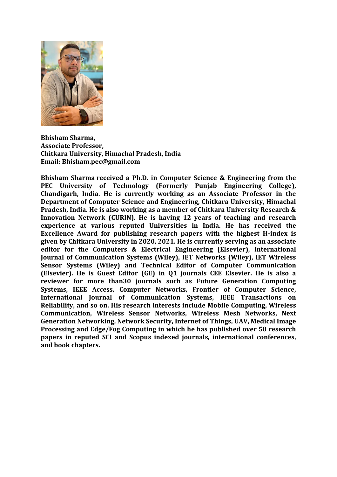

**Bhisham Sharma, Associate Professor, Chitkara University, Himachal Pradesh, India Email: Bhisham.pec@gmail.com**

**Bhisham Sharma received a Ph.D. in Computer Science & Engineering from the PEC University of Technology (Formerly Punjab Engineering College), Chandigarh, India. He is currently working as an Associate Professor in the Department of Computer Science and Engineering, Chitkara University, Himachal Pradesh, India. He is also working as a member of Chitkara University Research & Innovation Network (CURIN). He is having 12 years of teaching and research experience at various reputed Universities in India. He has received the Excellence Award for publishing research papers with the highest H-index is given by Chitkara University in 2020, 2021. He is currently serving as an associate editor for the Computers & Electrical Engineering (Elsevier), International Journal of Communication Systems (Wiley), IET Networks (Wiley), IET Wireless Sensor Systems (Wiley) and Technical Editor of Computer Communication (Elsevier). He is Guest Editor (GE) in Q1 journals CEE Elsevier. He is also a reviewer for more than30 journals such as Future Generation Computing Systems, IEEE Access, Computer Networks, Frontier of Computer Science, International Journal of Communication Systems, IEEE Transactions on Reliability, and so on. His research interests include Mobile Computing, Wireless Communication, Wireless Sensor Networks, Wireless Mesh Networks, Next Generation Networking, Network Security, Internet of Things, UAV, Medical Image Processing and Edge/Fog Computing in which he has published over 50 research papers in reputed SCI and Scopus indexed journals, international conferences, and book chapters.**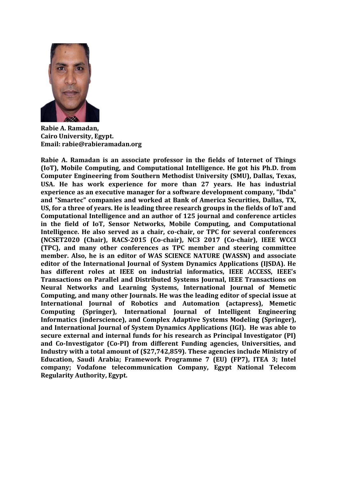

**Rabie A. Ramadan, Cairo University, Egypt. Email: rabie@rabieramadan.org**

**Rabie A. Ramadan is an associate professor in the fields of Internet of Things (IoT), Mobile Computing, and Computational Intelligence. He got his Ph.D. from Computer Engineering from Southern Methodist University (SMU), Dallas, Texas, USA. He has work experience for more than 27 years. He has industrial experience as an executive manager for a software development company, "Ibda" and "Smartec" companies and worked at Bank of America Securities, Dallas, TX, US, for a three of years. He is leading three research groups in the fields of IoT and Computational Intelligence and an author of 125 journal and conference articles in the field of IoT, Sensor Networks, Mobile Computing, and Computational Intelligence. He also served as a chair, co-chair, or TPC for several conferences (NCSET2020 (Chair), RACS-2015 (Co-chair), NC3 2017 (Co-chair), IEEE WCCI (TPC), and many other conferences as TPC member and steering committee member. Also, he is an editor of WAS SCIENCE NATURE (WASSN) and associate editor of the International Journal of System Dynamics Applications (IJSDA). He has different roles at IEEE on industrial informatics, IEEE ACCESS, IEEE's Transactions on Parallel and Distributed Systems Journal, IEEE Transactions on Neural Networks and Learning Systems, International Journal of Memetic Computing, and many other Journals. He was the leading editor of special issue at International Journal of Robotics and Automation (actapress), Memetic Computing (Springer), International Journal of Intelligent Engineering Informatics (inderscience), and Complex Adaptive Systems Modeling (Springer), and International Journal of System Dynamics Applications (IGI). He was able to secure external and internal funds for his research as Principal Investigator (PI) and Co-Investigator (Co-PI) from different Funding agencies, Universities, and Industry with a total amount of (\$27,742,859). These agencies include Ministry of Education, Saudi Arabia; Framework Programme 7 (EU) (FP7), ITEA 3; Intel company; Vodafone telecommunication Company, Egypt National Telecom Regularity Authority, Egypt.**